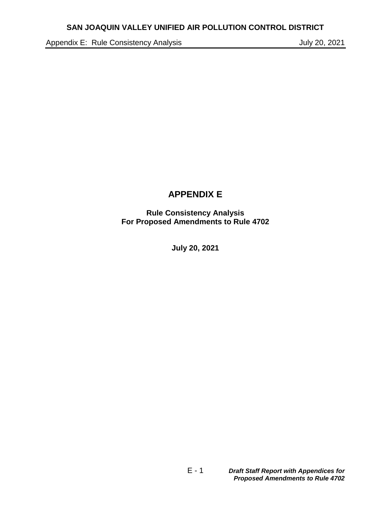Appendix E: Rule Consistency Analysis **All Accord 2014** July 20, 2021

# **APPENDIX E**

**Rule Consistency Analysis For Proposed Amendments to Rule 4702**

**July 20, 2021**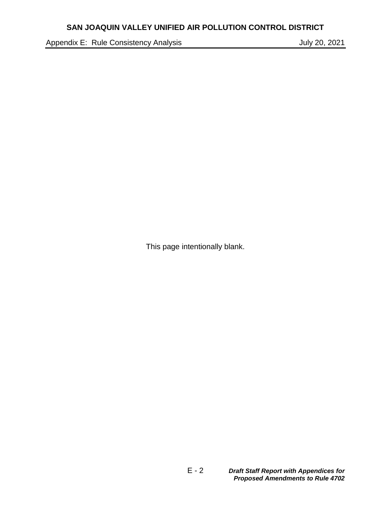Appendix E: Rule Consistency Analysis **All Accord 2014** July 20, 2021

This page intentionally blank.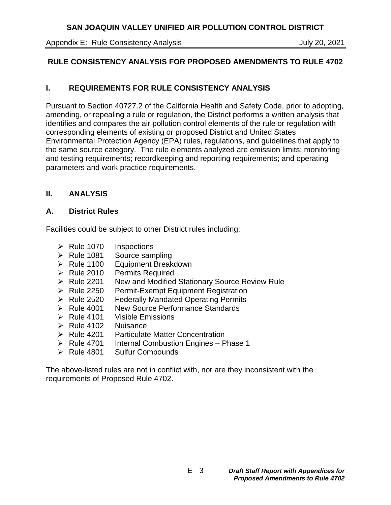# **SAN JOAQUIN VALLEY UNIFIED AIR POLLUTION CONTROL DISTRICT**

Appendix E: Rule Consistency Analysis **All Accord 2014** July 20, 2021

# **RULE CONSISTENCY ANALYSIS FOR PROPOSED AMENDMENTS TO RULE 4702**

# **I. REQUIREMENTS FOR RULE CONSISTENCY ANALYSIS**

Pursuant to Section 40727.2 of the California Health and Safety Code, prior to adopting, amending, or repealing a rule or regulation, the District performs a written analysis that identifies and compares the air pollution control elements of the rule or regulation with corresponding elements of existing or proposed District and United States Environmental Protection Agency (EPA) rules, regulations, and guidelines that apply to the same source category. The rule elements analyzed are emission limits; monitoring and testing requirements; recordkeeping and reporting requirements; and operating parameters and work practice requirements.

## **II. ANALYSIS**

## **A. District Rules**

Facilities could be subject to other District rules including:

- $\triangleright$  Rule 1070 Inspections
- $\triangleright$  Rule 1081 Source sampling
- $\triangleright$  Rule 1100 Equipment Breakdown
- ▶ Rule 2010 Permits Required
- ▶ Rule 2201 New and Modified Stationary Source Review Rule
- ▶ Rule 2250 Permit-Exempt Equipment Registration
- $\triangleright$  Rule 2520 Federally Mandated Operating Permits
- ▶ Rule 4001 New Source Performance Standards
- $\triangleright$  Rule 4101 Visible Emissions
- $\triangleright$  Rule 4102 Nuisance
- $\triangleright$  Rule 4201 Particulate Matter Concentration
- $\triangleright$  Rule 4701 Internal Combustion Engines Phase 1
- ▶ Rule 4801 Sulfur Compounds

The above-listed rules are not in conflict with, nor are they inconsistent with the requirements of Proposed Rule 4702.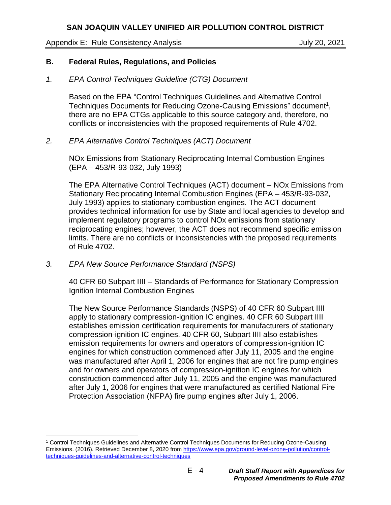# **SAN JOAQUIN VALLEY UNIFIED AIR POLLUTION CONTROL DISTRICT**

#### Appendix E: Rule Consistency Analysis **All Accord 2014** July 20, 2021

#### **B. Federal Rules, Regulations, and Policies**

*1. EPA Control Techniques Guideline (CTG) Document*

Based on the EPA "Control Techniques Guidelines and Alternative Control Techniques Documents for Reducing Ozone-Causing Emissions" document<sup>1</sup>, there are no EPA CTGs applicable to this source category and, therefore, no conflicts or inconsistencies with the proposed requirements of Rule 4702.

#### *2. EPA Alternative Control Techniques (ACT) Document*

NOx Emissions from Stationary Reciprocating Internal Combustion Engines (EPA – 453/R-93-032, July 1993)

The EPA Alternative Control Techniques (ACT) document – NOx Emissions from Stationary Reciprocating Internal Combustion Engines (EPA – 453/R-93-032, July 1993) applies to stationary combustion engines. The ACT document provides technical information for use by State and local agencies to develop and implement regulatory programs to control NOx emissions from stationary reciprocating engines; however, the ACT does not recommend specific emission limits. There are no conflicts or inconsistencies with the proposed requirements of Rule 4702.

*3. EPA New Source Performance Standard (NSPS)*

 $\overline{a}$ 

40 CFR 60 Subpart IIII – Standards of Performance for Stationary Compression Ignition Internal Combustion Engines

The New Source Performance Standards (NSPS) of 40 CFR 60 Subpart IIII apply to stationary compression-ignition IC engines. 40 CFR 60 Subpart IIII establishes emission certification requirements for manufacturers of stationary compression-ignition IC engines. 40 CFR 60, Subpart IIII also establishes emission requirements for owners and operators of compression-ignition IC engines for which construction commenced after July 11, 2005 and the engine was manufactured after April 1, 2006 for engines that are not fire pump engines and for owners and operators of compression-ignition IC engines for which construction commenced after July 11, 2005 and the engine was manufactured after July 1, 2006 for engines that were manufactured as certified National Fire Protection Association (NFPA) fire pump engines after July 1, 2006.

<sup>1</sup> Control Techniques Guidelines and Alternative Control Techniques Documents for Reducing Ozone-Causing Emissions. (2016). Retrieved December 8, 2020 from [https://www.epa.gov/ground-level-ozone-pollution/control](https://www.epa.gov/ground-level-ozone-pollution/control-techniques-guidelines-and-alternative-control-techniques)[techniques-guidelines-and-alternative-control-techniques](https://www.epa.gov/ground-level-ozone-pollution/control-techniques-guidelines-and-alternative-control-techniques)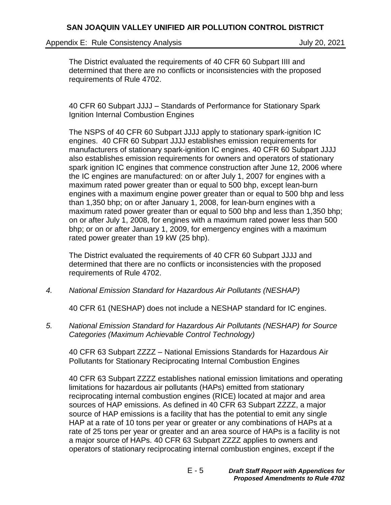Appendix E: Rule Consistency Analysis **Automagne 10 and 10 and 10 and 10 and 10 and 10 and 10 and 10 and 10 and 1** 

The District evaluated the requirements of 40 CFR 60 Subpart IIII and determined that there are no conflicts or inconsistencies with the proposed requirements of Rule 4702.

40 CFR 60 Subpart JJJJ – Standards of Performance for Stationary Spark Ignition Internal Combustion Engines

The NSPS of 40 CFR 60 Subpart JJJJ apply to stationary spark-ignition IC engines. 40 CFR 60 Subpart JJJJ establishes emission requirements for manufacturers of stationary spark-ignition IC engines. 40 CFR 60 Subpart JJJJ also establishes emission requirements for owners and operators of stationary spark ignition IC engines that commence construction after June 12, 2006 where the IC engines are manufactured: on or after July 1, 2007 for engines with a maximum rated power greater than or equal to 500 bhp, except lean-burn engines with a maximum engine power greater than or equal to 500 bhp and less than 1,350 bhp; on or after January 1, 2008, for lean-burn engines with a maximum rated power greater than or equal to 500 bhp and less than 1,350 bhp; on or after July 1, 2008, for engines with a maximum rated power less than 500 bhp; or on or after January 1, 2009, for emergency engines with a maximum rated power greater than 19 kW (25 bhp).

The District evaluated the requirements of 40 CFR 60 Subpart JJJJ and determined that there are no conflicts or inconsistencies with the proposed requirements of Rule 4702.

*4. National Emission Standard for Hazardous Air Pollutants (NESHAP)*

40 CFR 61 (NESHAP) does not include a NESHAP standard for IC engines.

*5. National Emission Standard for Hazardous Air Pollutants (NESHAP) for Source Categories (Maximum Achievable Control Technology)*

40 CFR 63 Subpart ZZZZ – National Emissions Standards for Hazardous Air Pollutants for Stationary Reciprocating Internal Combustion Engines

40 CFR 63 Subpart ZZZZ establishes national emission limitations and operating limitations for hazardous air pollutants (HAPs) emitted from stationary reciprocating internal combustion engines (RICE) located at major and area sources of HAP emissions. As defined in 40 CFR 63 Subpart ZZZZ, a major source of HAP emissions is a facility that has the potential to emit any single HAP at a rate of 10 tons per year or greater or any combinations of HAPs at a rate of 25 tons per year or greater and an area source of HAPs is a facility is not a major source of HAPs. 40 CFR 63 Subpart ZZZZ applies to owners and operators of stationary reciprocating internal combustion engines, except if the